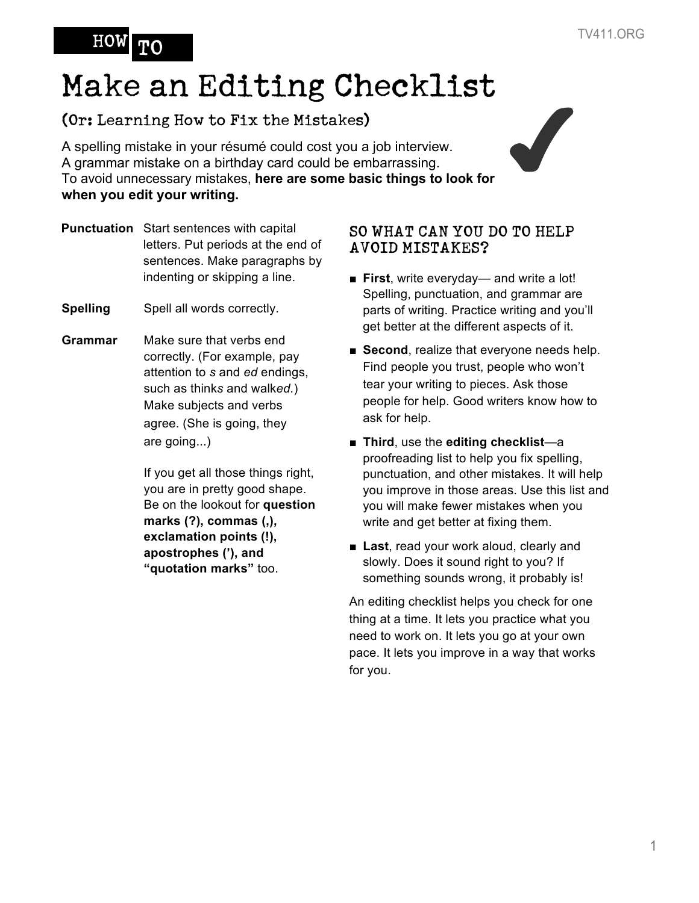## HOW

# Make an Editing Checklist

## (Or: Learning How to Fix the Mistakes)

A spelling mistake in your résumé could cost you a job interview. A grammar mistake on a birthday card could be embarrassing. **(Or: Learning How to Fix the Mistakes)**<br>A spelling mistake in your résumé could cost you a job interview.<br>A grammar mistake on a birthday card could be embarrassing.<br>To avoid unnecessary mistakes, **here are some basic thi when you edit your writing.**

- **Punctuation** Start sentences with capital letters. Put periods at the end of sentences. Make paragraphs by indenting or skipping a line.
- **Spelling** Spell all words correctly.
- **Grammar** Make sure that verbs end correctly. (For example, pay attention to *s* and *ed* endings, such as think*s* and walk*ed.*) Make subjects and verbs agree. (She is going, they are going...)

If you get all those things right, you are in pretty good shape. Be on the lookout for **question marks (?), commas (,), exclamation points (!), apostrophes ('), and "quotation marks"** too.

### SO WHAT CAN YOU DO TO HELP AVOID MISTAKES?

- **First**, write everyday— and write a lot! Spelling, punctuation, and grammar are parts of writing. Practice writing and you'll get better at the different aspects of it.
- **Second**, realize that everyone needs help. Find people you trust, people who won't tear your writing to pieces. Ask those people for help. Good writers know how to ask for help.
- **Third**, use the **editing checklist**—a proofreading list to help you fix spelling, punctuation, and other mistakes. It will help you improve in those areas. Use this list and you will make fewer mistakes when you write and get better at fixing them.
- **Last**, read your work aloud, clearly and slowly. Does it sound right to you? If something sounds wrong, it probably is!

An editing checklist helps you check for one thing at a time. It lets you practice what you need to work on. It lets you go at your own pace. It lets you improve in a way that works for you.